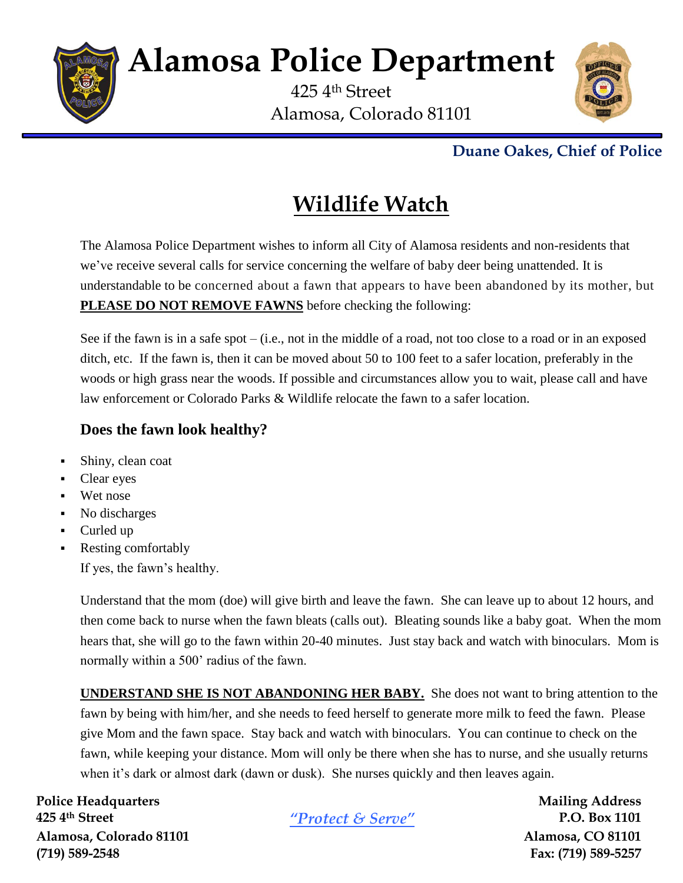

# **Alamosa Police Department**

425 4th Street Alamosa, Colorado 81101



### **Duane Oakes, Chief of Police**

## **Wildlife Watch**

The Alamosa Police Department wishes to inform all City of Alamosa residents and non-residents that we've receive several calls for service concerning the welfare of baby deer being unattended. It is understandable to be concerned about a fawn that appears to have been abandoned by its mother, but **PLEASE DO NOT REMOVE FAWNS** before checking the following:

See if the fawn is in a safe spot – (i.e., not in the middle of a road, not too close to a road or in an exposed ditch, etc. If the fawn is, then it can be moved about 50 to 100 feet to a safer location, preferably in the woods or high grass near the woods. If possible and circumstances allow you to wait, please call and have law enforcement or Colorado Parks & Wildlife relocate the fawn to a safer location.

#### **Does the fawn look healthy?**

- Shiny, clean coat
- Clear eyes
- **Wet nose**
- No discharges
- Curled up
- Resting comfortably
	- If yes, the fawn's healthy.

Understand that the mom (doe) will give birth and leave the fawn. She can leave up to about 12 hours, and then come back to nurse when the fawn bleats (calls out). Bleating sounds like a baby goat. When the mom hears that, she will go to the fawn within 20-40 minutes. Just stay back and watch with binoculars. Mom is normally within a 500' radius of the fawn.

**UNDERSTAND SHE IS NOT ABANDONING HER BABY.** She does not want to bring attention to the fawn by being with him/her, and she needs to feed herself to generate more milk to feed the fawn. Please give Mom and the fawn space. Stay back and watch with binoculars. You can continue to check on the fawn, while keeping your distance. Mom will only be there when she has to nurse, and she usually returns when it's dark or almost dark (dawn or dusk). She nurses quickly and then leaves again.

**Police Headquarters Mailing Address 425 4th Street** *"Protect & Serve"* **P.O. Box 1101 Alamosa, Colorado 81101 Alamosa, CO 81101 (719) 589-2548 Fax: (719) 589-5257**